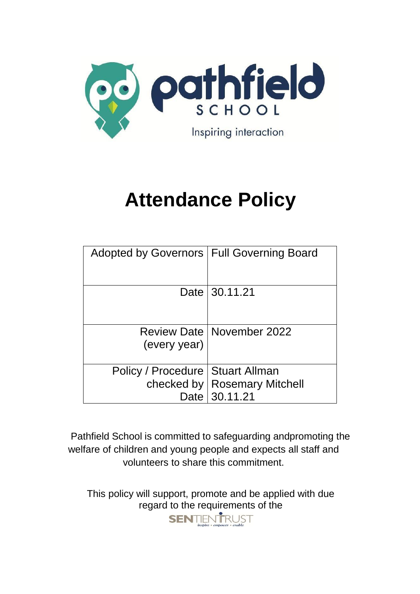

# **Attendance Policy**

| Adopted by Governors   Full Governing Board |                                    |
|---------------------------------------------|------------------------------------|
|                                             |                                    |
|                                             | Date 130.11.21                     |
|                                             |                                    |
|                                             | <b>Review Date   November 2022</b> |
| (every year)                                |                                    |
| Policy / Procedure   Stuart Allman          |                                    |
|                                             | checked by   Rosemary Mitchell     |
| Date                                        | 30.11.21                           |

Pathfield School is committed to safeguarding andpromoting the welfare of children and young people and expects all staff and volunteers to share this commitment.

This policy will support, promote and be applied with due regard to the requirements of the<br> **SENTENTRUST** 

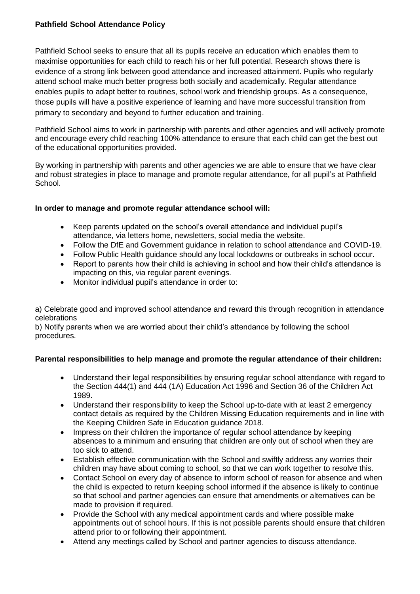# **Pathfield School Attendance Policy**

Pathfield School seeks to ensure that all its pupils receive an education which enables them to maximise opportunities for each child to reach his or her full potential. Research shows there is evidence of a strong link between good attendance and increased attainment. Pupils who regularly attend school make much better progress both socially and academically. Regular attendance enables pupils to adapt better to routines, school work and friendship groups. As a consequence, those pupils will have a positive experience of learning and have more successful transition from primary to secondary and beyond to further education and training.

Pathfield School aims to work in partnership with parents and other agencies and will actively promote and encourage every child reaching 100% attendance to ensure that each child can get the best out of the educational opportunities provided.

By working in partnership with parents and other agencies we are able to ensure that we have clear and robust strategies in place to manage and promote regular attendance, for all pupil's at Pathfield School.

# **In order to manage and promote regular attendance school will:**

- Keep parents updated on the school's overall attendance and individual pupil's attendance, via letters home, newsletters, social media the website.
- Follow the DfE and Government guidance in relation to school attendance and COVID-19.
- Follow Public Health guidance should any local lockdowns or outbreaks in school occur.
- Report to parents how their child is achieving in school and how their child's attendance is impacting on this, via regular parent evenings.
- Monitor individual pupil's attendance in order to:

a) Celebrate good and improved school attendance and reward this through recognition in attendance celebrations

b) Notify parents when we are worried about their child's attendance by following the school procedures.

# **Parental responsibilities to help manage and promote the regular attendance of their children:**

- Understand their legal responsibilities by ensuring regular school attendance with regard to the Section 444(1) and 444 (1A) Education Act 1996 and Section 36 of the Children Act 1989.
- Understand their responsibility to keep the School up-to-date with at least 2 emergency contact details as required by the Children Missing Education requirements and in line with the Keeping Children Safe in Education guidance 2018.
- Impress on their children the importance of regular school attendance by keeping absences to a minimum and ensuring that children are only out of school when they are too sick to attend.
- Establish effective communication with the School and swiftly address any worries their children may have about coming to school, so that we can work together to resolve this.
- Contact School on every day of absence to inform school of reason for absence and when the child is expected to return keeping school informed if the absence is likely to continue so that school and partner agencies can ensure that amendments or alternatives can be made to provision if required.
- Provide the School with any medical appointment cards and where possible make appointments out of school hours. If this is not possible parents should ensure that children attend prior to or following their appointment.
- Attend any meetings called by School and partner agencies to discuss attendance.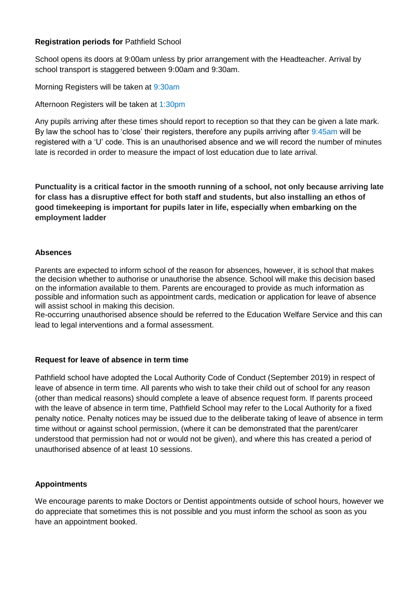#### **Registration periods for** Pathfield School

School opens its doors at 9:00am unless by prior arrangement with the Headteacher. Arrival by school transport is staggered between 9:00am and 9:30am.

Morning Registers will be taken at 9:30am

Afternoon Registers will be taken at 1:30pm

Any pupils arriving after these times should report to reception so that they can be given a late mark. By law the school has to 'close' their registers, therefore any pupils arriving after 9:45am will be registered with a 'U' code. This is an unauthorised absence and we will record the number of minutes late is recorded in order to measure the impact of lost education due to late arrival.

**Punctuality is a critical factor in the smooth running of a school, not only because arriving late for class has a disruptive effect for both staff and students, but also installing an ethos of good timekeeping is important for pupils later in life, especially when embarking on the employment ladder**

#### **Absences**

Parents are expected to inform school of the reason for absences, however, it is school that makes the decision whether to authorise or unauthorise the absence. School will make this decision based on the information available to them. Parents are encouraged to provide as much information as possible and information such as appointment cards, medication or application for leave of absence will assist school in making this decision.

Re-occurring unauthorised absence should be referred to the Education Welfare Service and this can lead to legal interventions and a formal assessment.

#### **Request for leave of absence in term time**

Pathfield school have adopted the Local Authority Code of Conduct (September 2019) in respect of leave of absence in term time. All parents who wish to take their child out of school for any reason (other than medical reasons) should complete a leave of absence request form. If parents proceed with the leave of absence in term time, Pathfield School may refer to the Local Authority for a fixed penalty notice. Penalty notices may be issued due to the deliberate taking of leave of absence in term time without or against school permission, (where it can be demonstrated that the parent/carer understood that permission had not or would not be given), and where this has created a period of unauthorised absence of at least 10 sessions.

#### **Appointments**

We encourage parents to make Doctors or Dentist appointments outside of school hours, however we do appreciate that sometimes this is not possible and you must inform the school as soon as you have an appointment booked.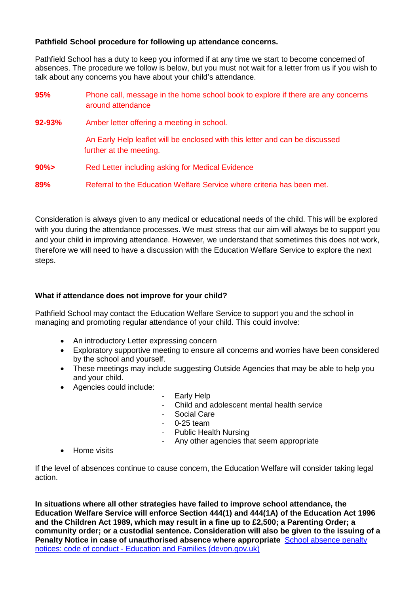#### **Pathfield School procedure for following up attendance concerns.**

Pathfield School has a duty to keep you informed if at any time we start to become concerned of absences. The procedure we follow is below, but you must not wait for a letter from us if you wish to talk about any concerns you have about your child's attendance.

| 95%    | Phone call, message in the home school book to explore if there are any concerns<br>around attendance   |
|--------|---------------------------------------------------------------------------------------------------------|
| 92-93% | Amber letter offering a meeting in school.                                                              |
|        | An Early Help leaflet will be enclosed with this letter and can be discussed<br>further at the meeting. |
| $90\%$ | Red Letter including asking for Medical Evidence                                                        |
| 89%    | Referral to the Education Welfare Service where criteria has been met.                                  |

Consideration is always given to any medical or educational needs of the child. This will be explored with you during the attendance processes. We must stress that our aim will always be to support you and your child in improving attendance. However, we understand that sometimes this does not work, therefore we will need to have a discussion with the Education Welfare Service to explore the next steps.

#### **What if attendance does not improve for your child?**

Pathfield School may contact the Education Welfare Service to support you and the school in managing and promoting regular attendance of your child. This could involve:

- An introductory Letter expressing concern
- Exploratory supportive meeting to ensure all concerns and worries have been considered by the school and yourself.
- These meetings may include suggesting Outside Agencies that may be able to help you and your child.
- Agencies could include:
- Early Help
- Child and adolescent mental health service
- Social Care
- 0-25 team
- Public Health Nursing
- Any other agencies that seem appropriate
- Home visits

If the level of absences continue to cause concern, the Education Welfare will consider taking legal action.

**In situations where all other strategies have failed to improve school attendance, the Education Welfare Service will enforce Section 444(1) and 444(1A) of the Education Act 1996 and the Children Act 1989, which may result in a fine up to £2,500; a Parenting Order; a community order; or a custodial sentence. Consideration will also be given to the issuing of a Penalty Notice in case of unauthorised absence where appropriate** [School absence penalty](https://www.devon.gov.uk/educationandfamilies/school-information/school-attendance/absence-from-school-penalty-notices/absence-from-school-penalty-notices-code-of-conduct)  notices: code of conduct - [Education and Families \(devon.gov.uk\)](https://www.devon.gov.uk/educationandfamilies/school-information/school-attendance/absence-from-school-penalty-notices/absence-from-school-penalty-notices-code-of-conduct)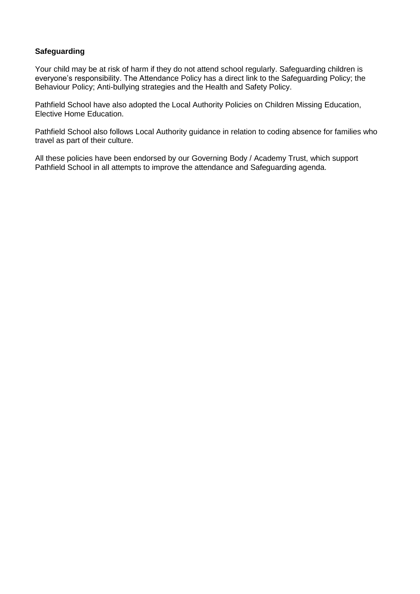# **Safeguarding**

Your child may be at risk of harm if they do not attend school regularly. Safeguarding children is everyone's responsibility. The Attendance Policy has a direct link to the Safeguarding Policy; the Behaviour Policy; Anti-bullying strategies and the Health and Safety Policy.

Pathfield School have also adopted the Local Authority Policies on Children Missing Education, Elective Home Education.

Pathfield School also follows Local Authority guidance in relation to coding absence for families who travel as part of their culture.

All these policies have been endorsed by our Governing Body / Academy Trust, which support Pathfield School in all attempts to improve the attendance and Safeguarding agenda.